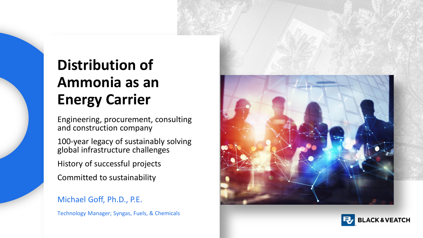## **Distribution of Ammonia as an Energy Carrier**

Engineering, procurement, consulting and construction company

100-year legacy of sustainably solving global infrastructure challenges

History of successful projects

Committed to sustainability

Michael Goff, Ph.D., P.E.

Technology Manager; Syngas, Fuels, & Chemicals



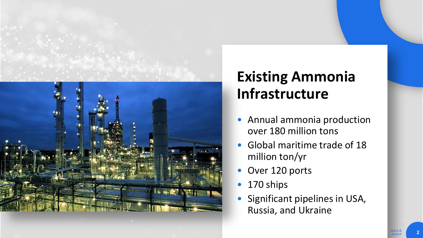

### **Existing Ammonia Infrastructure**

- Annual ammonia production over 180 million tons
- Global maritime trade of 18 million ton/yr
- Over 120 ports
- 170 ships
- Significant pipelines in USA, Russia, and Ukraine

*Black & Veatch*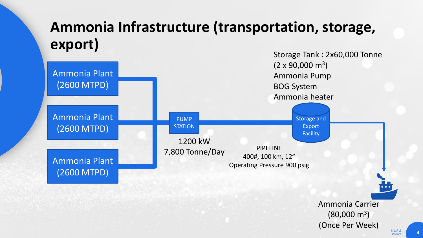#### **Ammonia Infrastructure (transportation, storage, export)**



*Black &*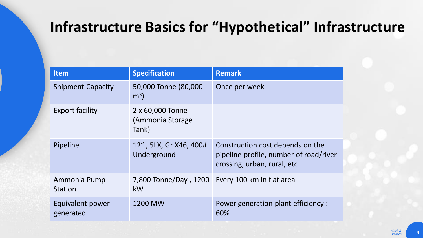#### **Infrastructure Basics for "Hypothetical" Infrastructure**

| <b>Item</b>                    | <b>Specification</b>                          | <b>Remark</b>                                                                                             |
|--------------------------------|-----------------------------------------------|-----------------------------------------------------------------------------------------------------------|
| <b>Shipment Capacity</b>       | 50,000 Tonne (80,000<br>m <sup>3</sup>        | Once per week                                                                                             |
| <b>Export facility</b>         | 2 x 60,000 Tonne<br>(Ammonia Storage<br>Tank) |                                                                                                           |
| Pipeline                       | 12", 5LX, Gr X46, 400#<br>Underground         | Construction cost depends on the<br>pipeline profile, number of road/river<br>crossing, urban, rural, etc |
| Ammonia Pump<br><b>Station</b> | kW                                            | 7,800 Tonne/Day, 1200 Every 100 km in flat area                                                           |
| Equivalent power<br>generated  | 1200 MW                                       | Power generation plant efficiency :<br>60%                                                                |

*Veatch* **4**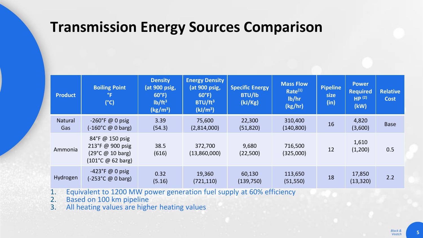#### **Transmission Energy Sources Comparison**

| <b>Product</b>        | <b>Boiling Point</b><br>$^{\circ}$ F<br>$(^{\circ}C)$                                                                 | <b>Density</b><br>(at 900 psig,<br>$60^{\circ}F$<br>lb/ft <sup>3</sup><br>(kg/m <sup>3</sup> ) | <b>Energy Density</b><br>(at 900 psig,<br>$60^{\circ}$ F)<br>BTU/ft <sup>3</sup><br>(kJ/m <sup>3</sup> ) | <b>Specific Energy</b><br><b>BTU/lb</b><br>(kJ/Kg) | <b>Mass Flow</b><br>Rate <sup>(1)</sup><br>lb/hr<br>(kg/hr) | <b>Pipeline</b><br>size<br>(in) | <b>Power</b><br><b>Required</b><br>HP <sup>(2)</sup><br>(kW) | <b>Relative</b><br><b>Cost</b> |
|-----------------------|-----------------------------------------------------------------------------------------------------------------------|------------------------------------------------------------------------------------------------|----------------------------------------------------------------------------------------------------------|----------------------------------------------------|-------------------------------------------------------------|---------------------------------|--------------------------------------------------------------|--------------------------------|
| <b>Natural</b><br>Gas | $-260^{\circ}$ F @ 0 psig<br>$(-160^{\circ}C \ @ 0 \text{ barg})$                                                     | 3.39<br>(54.3)                                                                                 | 75,600<br>(2,814,000)                                                                                    | 22,300<br>(51, 820)                                | 310,400<br>(140, 800)                                       | 16                              | 4,820<br>(3,600)                                             | <b>Base</b>                    |
| Ammonia               | 84°F @ 150 psig<br>213°F @ 900 psig<br>$(29^{\circ}C \ @ \ 10 \ \text{barg})$<br>$(101^{\circ}C \ @ 62 \text{ barg})$ | 38.5<br>(616)                                                                                  | 372,700<br>(13,860,000)                                                                                  | 9,680<br>(22,500)                                  | 716,500<br>(325,000)                                        | 12                              | 1,610<br>(1,200)                                             | 0.5                            |
| Hydrogen              | $-423$ °F @ 0 psig<br>$(-253^{\circ}C \ @ 0 \text{ barg})$                                                            | 0.32<br>(5.16)                                                                                 | 19,360<br>(721, 110)                                                                                     | 60,130<br>(139, 750)                               | 113,650<br>(51, 550)                                        | 18                              | 17,850<br>(13, 320)                                          | 2.2                            |

1. Equivalent to 1200 MW power generation fuel supply at 60% efficiency<br>2. Based on 100 km pipeline

2. Based on 100 km pipeline

3. All heating values are higher heating values

*Black & Veatch* **5**